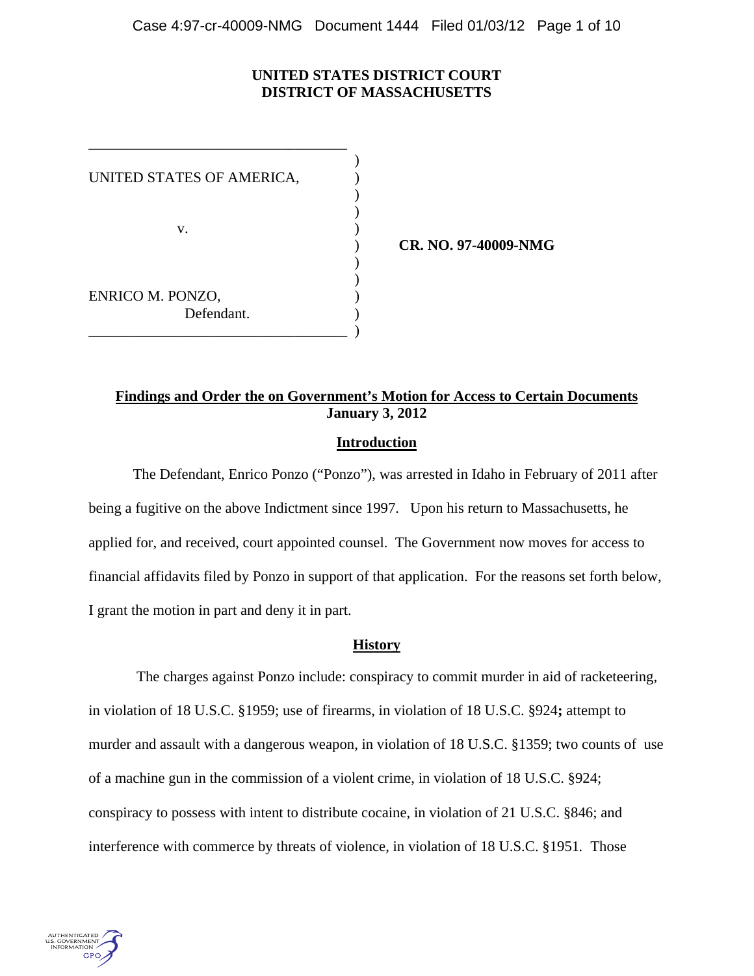# **UNITED STATES DISTRICT COURT DISTRICT OF MASSACHUSETTS**

 $)$ UNITED STATES OF AMERICA, )  $)$  $)$ v. (1) )  $)$ ENRICO M. PONZO, ) Defendant. \_\_\_\_\_\_\_\_\_\_\_\_\_\_\_\_\_\_\_\_\_\_\_\_\_\_\_\_\_\_\_\_\_\_\_ )

\_\_\_\_\_\_\_\_\_\_\_\_\_\_\_\_\_\_\_\_\_\_\_\_\_\_\_\_\_\_\_\_\_\_\_

) **CR. NO. 97-40009-NMG** 

# **Findings and Order the on Government's Motion for Access to Certain Documents January 3, 2012**

# **Introduction**

 The Defendant, Enrico Ponzo ("Ponzo"), was arrested in Idaho in February of 2011 after being a fugitive on the above Indictment since 1997. Upon his return to Massachusetts, he applied for, and received, court appointed counsel. The Government now moves for access to financial affidavits filed by Ponzo in support of that application. For the reasons set forth below, I grant the motion in part and deny it in part.

## **History**

 The charges against Ponzo include: conspiracy to commit murder in aid of racketeering, in violation of 18 U.S.C. §1959; use of firearms, in violation of 18 U.S.C. §924**;** attempt to murder and assault with a dangerous weapon, in violation of 18 U.S.C. §1359; two counts of use of a machine gun in the commission of a violent crime, in violation of 18 U.S.C. §924; conspiracy to possess with intent to distribute cocaine, in violation of 21 U.S.C. §846; and interference with commerce by threats of violence, in violation of 18 U.S.C. §1951*.* Those

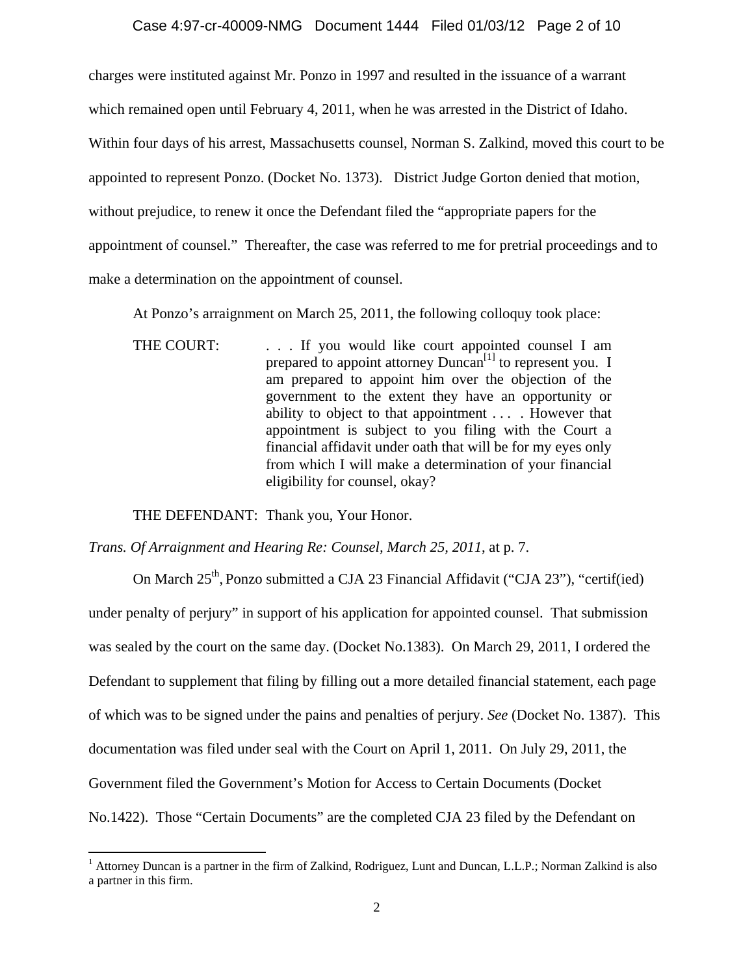charges were instituted against Mr. Ponzo in 1997 and resulted in the issuance of a warrant which remained open until February 4, 2011, when he was arrested in the District of Idaho. Within four days of his arrest, Massachusetts counsel, Norman S. Zalkind, moved this court to be appointed to represent Ponzo. (Docket No. 1373). District Judge Gorton denied that motion, without prejudice, to renew it once the Defendant filed the "appropriate papers for the appointment of counsel." Thereafter, the case was referred to me for pretrial proceedings and to make a determination on the appointment of counsel.

At Ponzo's arraignment on March 25, 2011, the following colloquy took place:

THE COURT: . . . If you would like court appointed counsel I am prepared to appoint attorney  $Duncan<sup>[1]</sup>$  to represent you. I am prepared to appoint him over the objection of the government to the extent they have an opportunity or ability to object to that appointment . . . . However that appointment is subject to you filing with the Court a financial affidavit under oath that will be for my eyes only from which I will make a determination of your financial eligibility for counsel, okay?

THE DEFENDANT: Thank you, Your Honor.

*Trans. Of Arraignment and Hearing Re: Counsel, March 25, 2011*, at p. 7.

On March 25<sup>th</sup>, Ponzo submitted a CJA 23 Financial Affidavit ("CJA 23"), "certif(ied) under penalty of perjury" in support of his application for appointed counsel. That submission was sealed by the court on the same day. (Docket No.1383). On March 29, 2011, I ordered the Defendant to supplement that filing by filling out a more detailed financial statement, each page of which was to be signed under the pains and penalties of perjury. *See* (Docket No. 1387). This documentation was filed under seal with the Court on April 1, 2011. On July 29, 2011, the Government filed the Government's Motion for Access to Certain Documents (Docket No.1422). Those "Certain Documents" are the completed CJA 23 filed by the Defendant on

<sup>&</sup>lt;sup>1</sup> Attorney Duncan is a partner in the firm of Zalkind, Rodriguez, Lunt and Duncan, L.L.P.; Norman Zalkind is also a partner in this firm.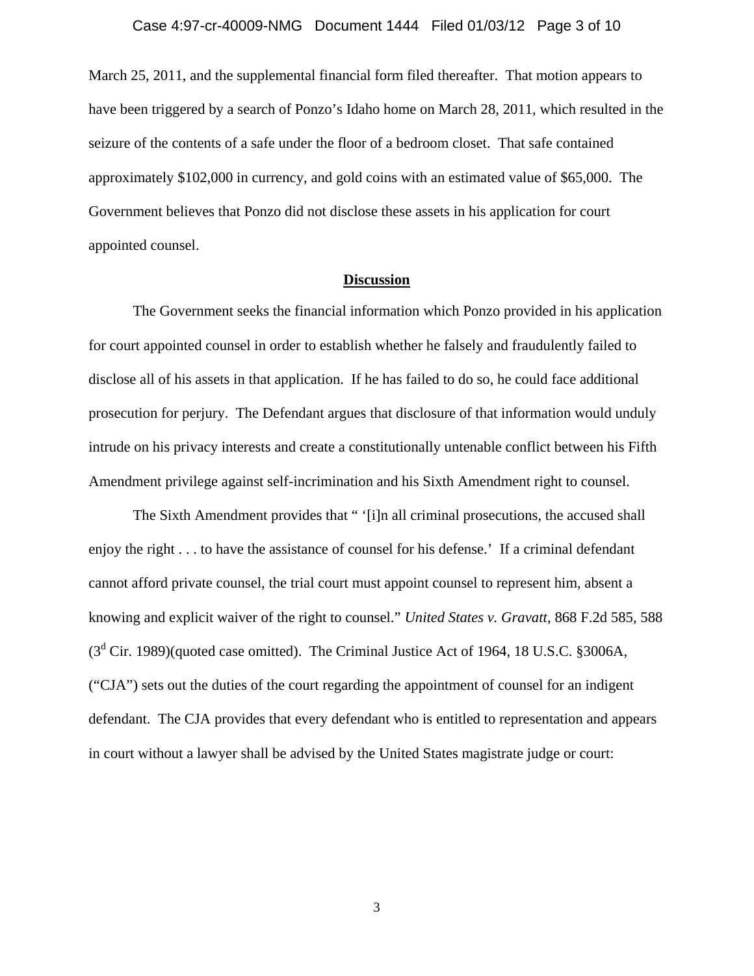March 25, 2011, and the supplemental financial form filed thereafter. That motion appears to have been triggered by a search of Ponzo's Idaho home on March 28, 2011, which resulted in the seizure of the contents of a safe under the floor of a bedroom closet. That safe contained approximately \$102,000 in currency, and gold coins with an estimated value of \$65,000. The Government believes that Ponzo did not disclose these assets in his application for court appointed counsel.

## **Discussion**

The Government seeks the financial information which Ponzo provided in his application for court appointed counsel in order to establish whether he falsely and fraudulently failed to disclose all of his assets in that application. If he has failed to do so, he could face additional prosecution for perjury. The Defendant argues that disclosure of that information would unduly intrude on his privacy interests and create a constitutionally untenable conflict between his Fifth Amendment privilege against self-incrimination and his Sixth Amendment right to counsel.

The Sixth Amendment provides that " '[i]n all criminal prosecutions, the accused shall enjoy the right . . . to have the assistance of counsel for his defense.' If a criminal defendant cannot afford private counsel, the trial court must appoint counsel to represent him, absent a knowing and explicit waiver of the right to counsel." *United States v. Gravatt*, 868 F.2d 585, 588  $(3<sup>d</sup>$  Cir. 1989)(quoted case omitted). The Criminal Justice Act of 1964, 18 U.S.C. §3006A, ("CJA") sets out the duties of the court regarding the appointment of counsel for an indigent defendant. The CJA provides that every defendant who is entitled to representation and appears in court without a lawyer shall be advised by the United States magistrate judge or court: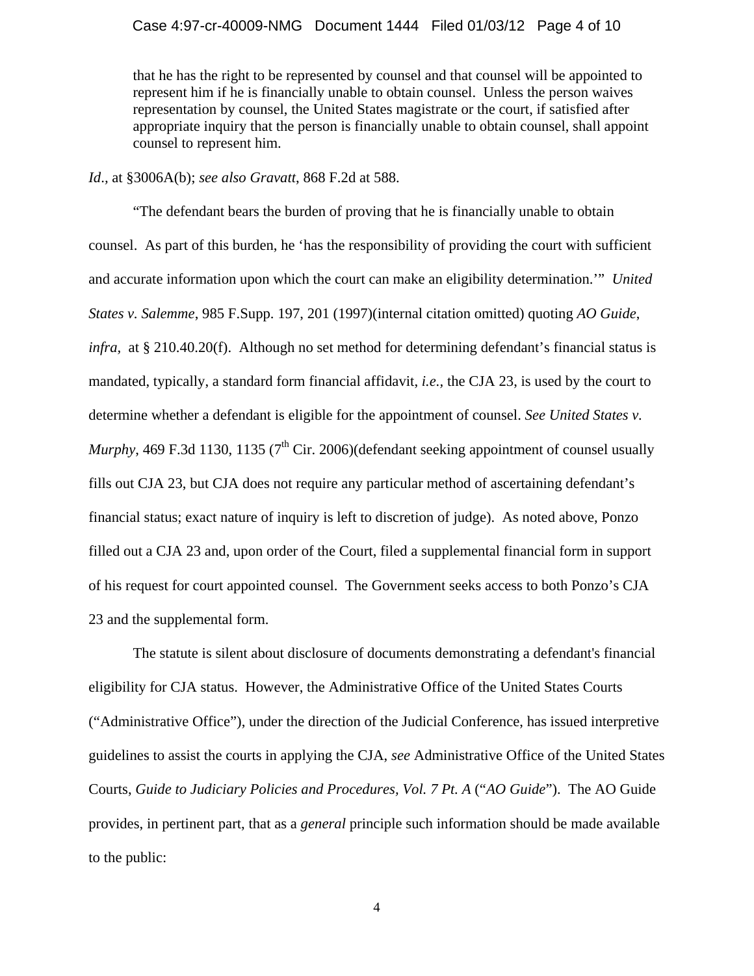## Case 4:97-cr-40009-NMG Document 1444 Filed 01/03/12 Page 4 of 10

that he has the right to be represented by counsel and that counsel will be appointed to represent him if he is financially unable to obtain counsel. Unless the person waives representation by counsel, the United States magistrate or the court, if satisfied after appropriate inquiry that the person is financially unable to obtain counsel, shall appoint counsel to represent him.

# *Id*.*,* at §3006A(b); *see also Gravatt*, 868 F.2d at 588.

"The defendant bears the burden of proving that he is financially unable to obtain counsel. As part of this burden, he 'has the responsibility of providing the court with sufficient and accurate information upon which the court can make an eligibility determination.'" *United States v. Salemme*, 985 F.Supp. 197, 201 (1997)(internal citation omitted) quoting *AO Guide*, *infra*, at § 210.40.20(f). Although no set method for determining defendant's financial status is mandated, typically, a standard form financial affidavit, *i.e.,* the CJA 23, is used by the court to determine whether a defendant is eligible for the appointment of counsel. *See United States v. Murphy*, 469 F.3d 1130, 1135 ( $7<sup>th</sup>$  Cir. 2006)(defendant seeking appointment of counsel usually fills out CJA 23, but CJA does not require any particular method of ascertaining defendant's financial status; exact nature of inquiry is left to discretion of judge). As noted above, Ponzo filled out a CJA 23 and, upon order of the Court, filed a supplemental financial form in support of his request for court appointed counsel. The Government seeks access to both Ponzo's CJA 23 and the supplemental form.

The statute is silent about disclosure of documents demonstrating a defendant's financial eligibility for CJA status. However, the Administrative Office of the United States Courts ("Administrative Office"), under the direction of the Judicial Conference, has issued interpretive guidelines to assist the courts in applying the CJA, *see* Administrative Office of the United States Courts, *Guide to Judiciary Policies and Procedures, Vol. 7 Pt. A* ("*AO Guide*"). The AO Guide provides, in pertinent part, that as a *general* principle such information should be made available to the public: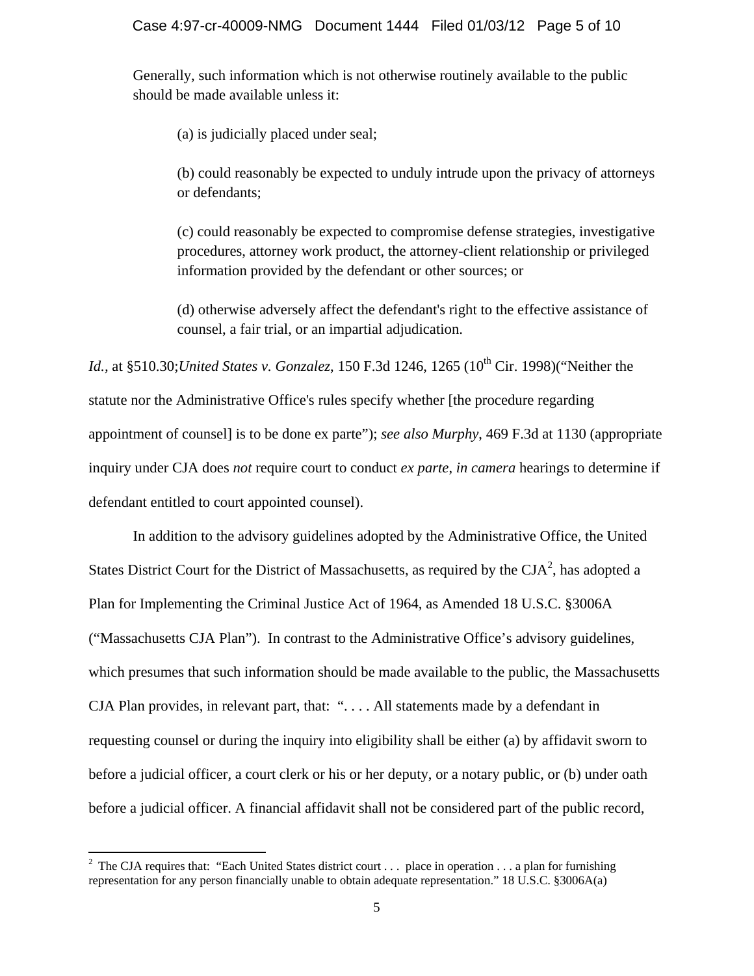Generally, such information which is not otherwise routinely available to the public should be made available unless it:

(a) is judicially placed under seal;

(b) could reasonably be expected to unduly intrude upon the privacy of attorneys or defendants;

(c) could reasonably be expected to compromise defense strategies, investigative procedures, attorney work product, the attorney-client relationship or privileged information provided by the defendant or other sources; or

(d) otherwise adversely affect the defendant's right to the effective assistance of counsel, a fair trial, or an impartial adjudication.

*Id., at §510.30; United States v. Gonzalez, 150 F.3d 1246, 1265 (10<sup>th</sup> Cir. 1998)("Neither the* statute nor the Administrative Office's rules specify whether [the procedure regarding appointment of counsel] is to be done ex parte"); *see also Murphy*, 469 F.3d at 1130 (appropriate inquiry under CJA does *not* require court to conduct *ex parte*, *in camera* hearings to determine if defendant entitled to court appointed counsel).

In addition to the advisory guidelines adopted by the Administrative Office, the United States District Court for the District of Massachusetts, as required by the  $CIA<sup>2</sup>$ , has adopted a Plan for Implementing the Criminal Justice Act of 1964, as Amended 18 U.S.C. §3006A ("Massachusetts CJA Plan"). In contrast to the Administrative Office's advisory guidelines, which presumes that such information should be made available to the public, the Massachusetts CJA Plan provides, in relevant part, that: ". . . . All statements made by a defendant in requesting counsel or during the inquiry into eligibility shall be either (a) by affidavit sworn to before a judicial officer, a court clerk or his or her deputy, or a notary public, or (b) under oath before a judicial officer. A financial affidavit shall not be considered part of the public record,

<sup>&</sup>lt;sup>2</sup> The CJA requires that: "Each United States district court . . . place in operation . . . a plan for furnishing representation for any person financially unable to obtain adequate representation." 18 U.S.C. §3006A(a)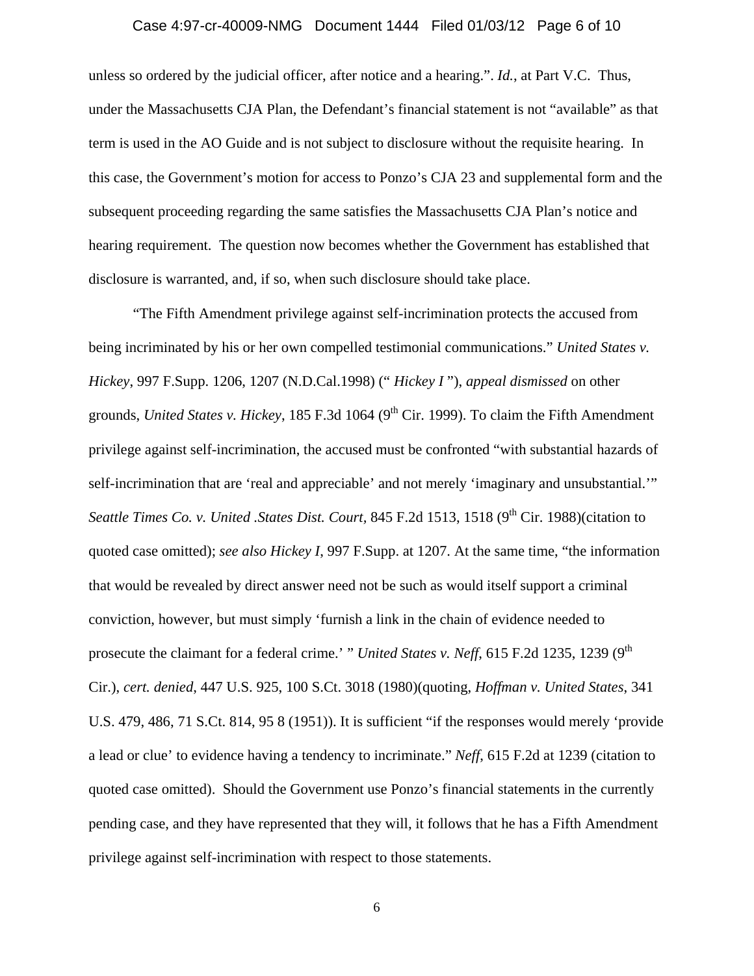### Case 4:97-cr-40009-NMG Document 1444 Filed 01/03/12 Page 6 of 10

unless so ordered by the judicial officer, after notice and a hearing.". *Id.*, at Part V.C. Thus, under the Massachusetts CJA Plan, the Defendant's financial statement is not "available" as that term is used in the AO Guide and is not subject to disclosure without the requisite hearing. In this case, the Government's motion for access to Ponzo's CJA 23 and supplemental form and the subsequent proceeding regarding the same satisfies the Massachusetts CJA Plan's notice and hearing requirement. The question now becomes whether the Government has established that disclosure is warranted, and, if so, when such disclosure should take place.

"The Fifth Amendment privilege against self-incrimination protects the accused from being incriminated by his or her own compelled testimonial communications." *United States v. Hickey*, 997 F.Supp. 1206, 1207 (N.D.Cal.1998) (" *Hickey I* "), *appeal dismissed* on other grounds, *United States v. Hickey*, 185 F.3d 1064 (9<sup>th</sup> Cir. 1999). To claim the Fifth Amendment privilege against self-incrimination, the accused must be confronted "with substantial hazards of self-incrimination that are 'real and appreciable' and not merely 'imaginary and unsubstantial.'" *Seattle Times Co. v. United .States Dist. Court, 845 F.2d 1513, 1518 (9<sup>th</sup> Cir. 1988)(citation to* quoted case omitted); *see also Hickey I*, 997 F.Supp. at 1207. At the same time, "the information that would be revealed by direct answer need not be such as would itself support a criminal conviction, however, but must simply 'furnish a link in the chain of evidence needed to prosecute the claimant for a federal crime.' " *United States v. Neff*, 615 F.2d 1235, 1239 (9<sup>th</sup>) Cir.), *cert. denied*, 447 U.S. 925, 100 S.Ct. 3018 (1980)(quoting, *Hoffman v. United States*, 341 U.S. 479, 486, 71 S.Ct. 814, 95 8 (1951)). It is sufficient "if the responses would merely 'provide a lead or clue' to evidence having a tendency to incriminate." *Neff*, 615 F.2d at 1239 (citation to quoted case omitted). Should the Government use Ponzo's financial statements in the currently pending case, and they have represented that they will, it follows that he has a Fifth Amendment privilege against self-incrimination with respect to those statements.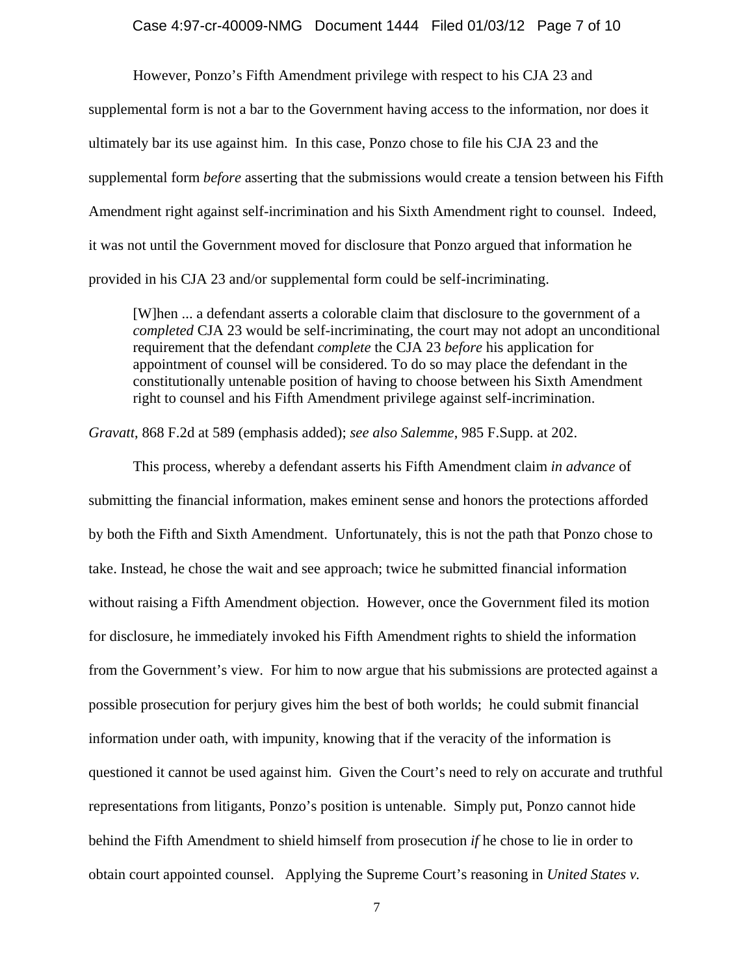#### Case 4:97-cr-40009-NMG Document 1444 Filed 01/03/12 Page 7 of 10

However, Ponzo's Fifth Amendment privilege with respect to his CJA 23 and supplemental form is not a bar to the Government having access to the information, nor does it ultimately bar its use against him. In this case, Ponzo chose to file his CJA 23 and the supplemental form *before* asserting that the submissions would create a tension between his Fifth Amendment right against self-incrimination and his Sixth Amendment right to counsel. Indeed, it was not until the Government moved for disclosure that Ponzo argued that information he provided in his CJA 23 and/or supplemental form could be self-incriminating.

[W]hen ... a defendant asserts a colorable claim that disclosure to the government of a *completed* CJA 23 would be self-incriminating, the court may not adopt an unconditional requirement that the defendant *complete* the CJA 23 *before* his application for appointment of counsel will be considered. To do so may place the defendant in the constitutionally untenable position of having to choose between his Sixth Amendment right to counsel and his Fifth Amendment privilege against self-incrimination.

*Gravatt*, 868 F.2d at 589 (emphasis added); *see also Salemme*, 985 F.Supp. at 202.

This process, whereby a defendant asserts his Fifth Amendment claim *in advance* of submitting the financial information, makes eminent sense and honors the protections afforded by both the Fifth and Sixth Amendment. Unfortunately, this is not the path that Ponzo chose to take. Instead, he chose the wait and see approach; twice he submitted financial information without raising a Fifth Amendment objection. However, once the Government filed its motion for disclosure, he immediately invoked his Fifth Amendment rights to shield the information from the Government's view. For him to now argue that his submissions are protected against a possible prosecution for perjury gives him the best of both worlds; he could submit financial information under oath, with impunity, knowing that if the veracity of the information is questioned it cannot be used against him. Given the Court's need to rely on accurate and truthful representations from litigants, Ponzo's position is untenable. Simply put, Ponzo cannot hide behind the Fifth Amendment to shield himself from prosecution *if* he chose to lie in order to obtain court appointed counsel. Applying the Supreme Court's reasoning in *United States v.*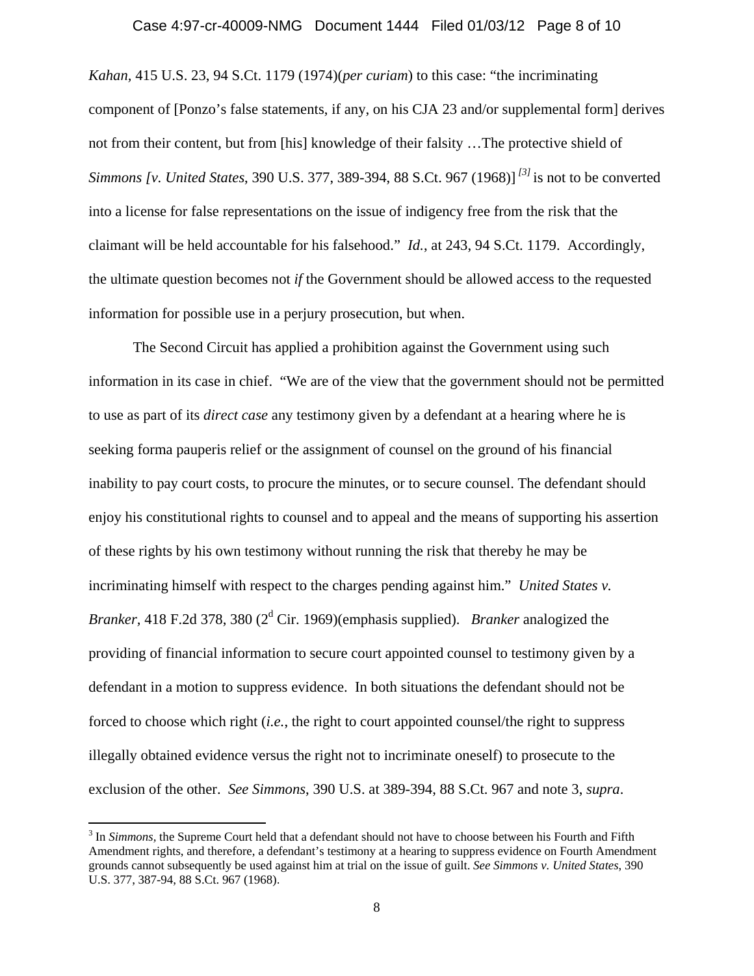*Kahan,* 415 U.S. 23, 94 S.Ct. 1179 (1974)(*per curiam*) to this case: "the incriminating component of [Ponzo's false statements, if any, on his CJA 23 and/or supplemental form] derives not from their content, but from [his] knowledge of their falsity …The protective shield of *Simmons [v. United States*, 390 U.S. 377, 389-394, 88 S.Ct. 967 (1968)] *[3]* is not to be converted into a license for false representations on the issue of indigency free from the risk that the claimant will be held accountable for his falsehood." *Id.*, at 243, 94 S.Ct. 1179. Accordingly, the ultimate question becomes not *if* the Government should be allowed access to the requested information for possible use in a perjury prosecution, but when.

 The Second Circuit has applied a prohibition against the Government using such information in its case in chief. "We are of the view that the government should not be permitted to use as part of its *direct case* any testimony given by a defendant at a hearing where he is seeking forma pauperis relief or the assignment of counsel on the ground of his financial inability to pay court costs, to procure the minutes, or to secure counsel. The defendant should enjoy his constitutional rights to counsel and to appeal and the means of supporting his assertion of these rights by his own testimony without running the risk that thereby he may be incriminating himself with respect to the charges pending against him." *United States v.*  Branker, 418 F.2d 378, 380 (2<sup>d</sup> Cir. 1969)(emphasis supplied). *Branker* analogized the providing of financial information to secure court appointed counsel to testimony given by a defendant in a motion to suppress evidence. In both situations the defendant should not be forced to choose which right (*i.e.*, the right to court appointed counsel/the right to suppress illegally obtained evidence versus the right not to incriminate oneself) to prosecute to the exclusion of the other. *See Simmons*, 390 U.S. at 389-394, 88 S.Ct. 967 and note 3, *supra*.

<sup>3</sup> In *Simmons,* the Supreme Court held that a defendant should not have to choose between his Fourth and Fifth Amendment rights, and therefore, a defendant's testimony at a hearing to suppress evidence on Fourth Amendment grounds cannot subsequently be used against him at trial on the issue of guilt. *See Simmons v. United States*, 390 U.S. 377, 387-94, 88 S.Ct. 967 (1968).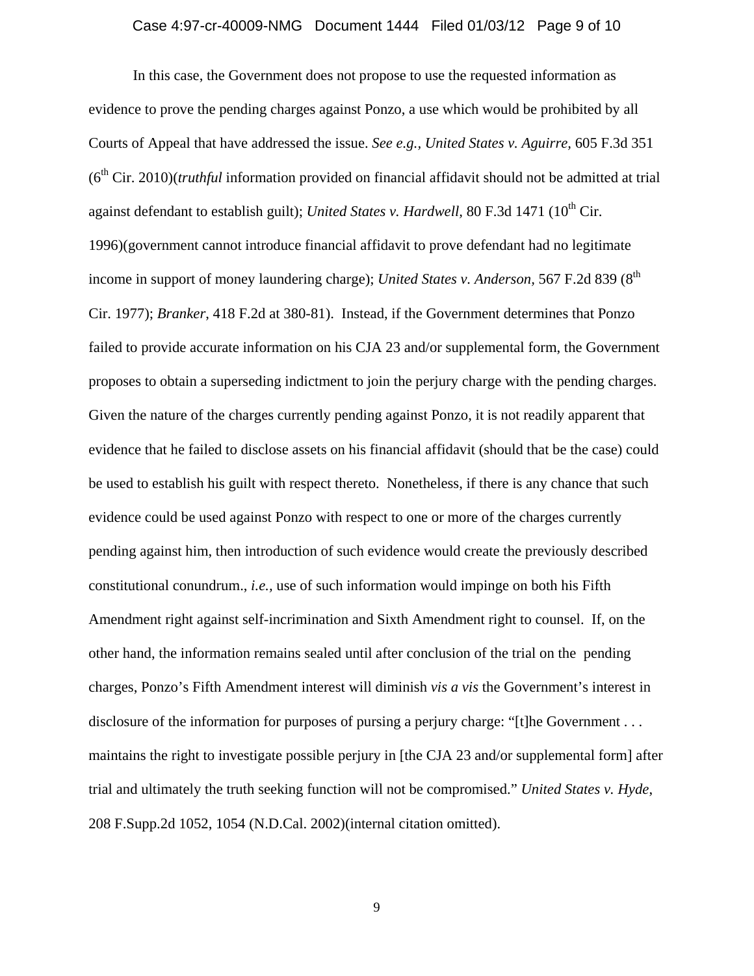### Case 4:97-cr-40009-NMG Document 1444 Filed 01/03/12 Page 9 of 10

In this case, the Government does not propose to use the requested information as evidence to prove the pending charges against Ponzo, a use which would be prohibited by all Courts of Appeal that have addressed the issue. *See e.g., United States v. Aguirre,* 605 F.3d 351  $(6<sup>th</sup> Cir. 2010)(truthful information provided on financial affidavit should not be admitted at trial)$ against defendant to establish guilt); *United States v. Hardwell*, 80 F.3d 1471 (10<sup>th</sup> Cir. 1996)(government cannot introduce financial affidavit to prove defendant had no legitimate income in support of money laundering charge); *United States v. Anderson*, 567 F.2d 839 (8<sup>th</sup>) Cir. 1977); *Branker*, 418 F.2d at 380-81). Instead, if the Government determines that Ponzo failed to provide accurate information on his CJA 23 and/or supplemental form, the Government proposes to obtain a superseding indictment to join the perjury charge with the pending charges. Given the nature of the charges currently pending against Ponzo, it is not readily apparent that evidence that he failed to disclose assets on his financial affidavit (should that be the case) could be used to establish his guilt with respect thereto. Nonetheless, if there is any chance that such evidence could be used against Ponzo with respect to one or more of the charges currently pending against him, then introduction of such evidence would create the previously described constitutional conundrum., *i.e.,* use of such information would impinge on both his Fifth Amendment right against self-incrimination and Sixth Amendment right to counsel. If, on the other hand, the information remains sealed until after conclusion of the trial on the pending charges, Ponzo's Fifth Amendment interest will diminish *vis a vis* the Government's interest in disclosure of the information for purposes of pursing a perjury charge: "[t]he Government . . . maintains the right to investigate possible perjury in [the CJA 23 and/or supplemental form] after trial and ultimately the truth seeking function will not be compromised." *United States v. Hyde*, 208 F.Supp.2d 1052, 1054 (N.D.Cal. 2002)(internal citation omitted).